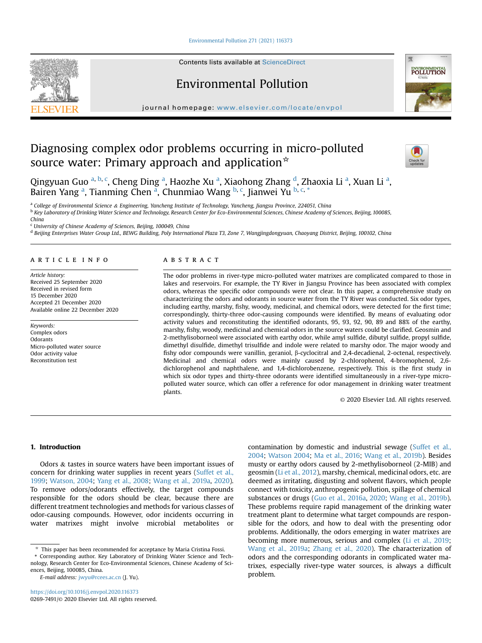[Environmental Pollution 271 \(2021\) 116373](https://doi.org/10.1016/j.envpol.2020.116373)

Contents lists available at ScienceDirect

# Environmental Pollution

journal homepage: [www.elsevier.com/locate/envpol](http://www.elsevier.com/locate/envpol)

# Diagnosing complex odor problems occurring in micro-polluted source water: Primary approach and application $*$

Qingyuan Guo <sup>[a,](#page-0-0) [b](#page-0-1), [c](#page-0-2)</sup>, Cheng Ding <sup>[a](#page-0-0)</sup>, Haozhe Xu <sup>a</sup>, Xiaohong Zhang <sup>[d](#page-0-3)</sup>, Zhaoxia Li <sup>a</sup>, Xuan Li <sup>a</sup>, B[a](#page-0-0)iren Yang <sup>a</sup>, Tianming Chen <sup>a</sup>, Chunmiao Wang <sup>[b,](#page-0-1) [c](#page-0-2)</sup>, Jianwei Yu <sup>[b](#page-0-1), c, [\\*](#page-0-4)</sup>

<span id="page-0-0"></span><sup>a</sup> College of Environmental Science & Engineering, Yancheng Institute of Technology, Yancheng, Jiangsu Province, 224051, China

<span id="page-0-1"></span><sup>b</sup> Key Laboratory of Drinking Water Science and Technology, Research Center for Eco-Environmental Sciences, Chinese Academy of Sciences, Beijing, 100085, China

<span id="page-0-2"></span><sup>c</sup> University of Chinese Academy of Sciences, Beijing, 100049, China

<span id="page-0-3"></span><sup>d</sup> Beijing Enterprises Water Group Ltd., BEWG Building, Poly International Plaza T3, Zone 7, Wangjingdongyuan, Chaoyang District, Beijing, 100102, China

### article info

Article history: Received 25 September 2020 Received in revised form 15 December 2020 Accepted 21 December 2020 Available online 22 December 2020

Keywords: Complex odors **Odorants** Micro-polluted water source Odor activity value Reconstitution test

# ABSTRACT

The odor problems in river-type micro-polluted water matrixes are complicated compared to those in lakes and reservoirs. For example, the TY River in Jiangsu Province has been associated with complex odors, whereas the specific odor compounds were not clear. In this paper, a comprehensive study on characterizing the odors and odorants in source water from the TY River was conducted. Six odor types, including earthy, marshy, fishy, woody, medicinal, and chemical odors, were detected for the first time; correspondingly, thirty-three odor-causing compounds were identified. By means of evaluating odor activity values and reconstituting the identified odorants, 95, 93, 92, 90, 89 and 88% of the earthy, marshy, fishy, woody, medicinal and chemical odors in the source waters could be clarified. Geosmin and 2-methylisoborneol were associated with earthy odor, while amyl sulfide, dibutyl sulfide, propyl sulfide, dimethyl disulfide, dimethyl trisulfide and indole were related to marshy odor. The major woody and fishy odor compounds were vanillin, geraniol,  $\beta$ -cyclocitral and 2,4-decadienal, 2-octenal, respectively. Medicinal and chemical odors were mainly caused by 2-chlorophenol, 4-bromophenol, 2,6 dichlorophenol and naphthalene, and 1,4-dichlorobenzene, respectively. This is the first study in which six odor types and thirty-three odorants were identified simultaneously in a river-type micropolluted water source, which can offer a reference for odor management in drinking water treatment plants.

© 2020 Elsevier Ltd. All rights reserved.

# 1. Introduction

Odors & tastes in source waters have been important issues of concern for drinking water supplies in recent years ([Suffet et al.,](#page-7-0) [1999](#page-7-0); [Watson, 2004;](#page-7-1) [Yang et al., 2008;](#page-7-2) [Wang et al., 2019a](#page-7-3), [2020\)](#page-7-4). To remove odors/odorants effectively, the target compounds responsible for the odors should be clear, because there are different treatment technologies and methods for various classes of odor-causing compounds. However, odor incidents occurring in water matrixes might involve microbial metabolites or

<span id="page-0-4"></span>\* Corresponding author. Key Laboratory of Drinking Water Science and Technology, Research Center for Eco-Environmental Sciences, Chinese Academy of Sciences, Beijing, 100085, China.

E-mail address: [jwyu@rcees.ac.cn](mailto:jwyu@rcees.ac.cn) (J. Yu).

contamination by domestic and industrial sewage [\(Suffet et al.,](#page-7-5) [2004;](#page-7-5) [Watson 2004;](#page-7-1) [Ma et al., 2016;](#page-7-6) [Wang et al., 2019b\)](#page-7-7). Besides musty or earthy odors caused by 2-methylisoborneol (2-MIB) and geosmin [\(Li et al., 2012](#page-6-0)), marshy, chemical, medicinal odors, etc. are deemed as irritating, disgusting and solvent flavors, which people connect with toxicity, anthropogenic pollution, spillage of chemical substances or drugs [\(Guo et al., 2016a](#page-6-1), [2020;](#page-6-2) [Wang et al., 2019b\)](#page-7-7). These problems require rapid management of the drinking water treatment plant to determine what target compounds are responsible for the odors, and how to deal with the presenting odor problems. Additionally, the odors emerging in water matrixes are becoming more numerous, serious and complex ([Li et al., 2019;](#page-6-3) [Wang et al., 2019a](#page-7-3); [Zhang et al., 2020\)](#page-7-8). The characterization of odors and the corresponding odorants in complicated water matrixes, especially river-type water sources, is always a difficult problem.







This paper has been recommended for acceptance by Maria Cristina Fossi.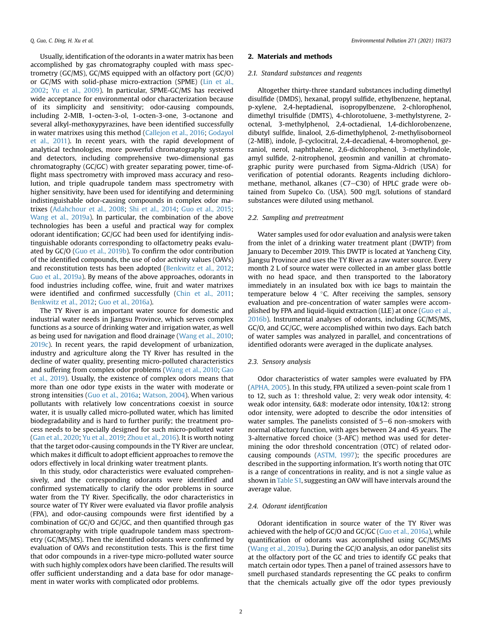Usually, identification of the odorants in a water matrix has been accomplished by gas chromatography coupled with mass spectrometry (GC/MS), GC/MS equipped with an olfactory port (GC/O) or GC/MS with solid-phase micro-extraction (SPME) [\(Lin et al.,](#page-6-4) [2002;](#page-6-4) [Yu et al., 2009\)](#page-7-9). In particular, SPME-GC/MS has received wide acceptance for environmental odor characterization because of its simplicity and sensitivity; odor-causing compounds, including 2-MIB, 1-octen-3-ol, 1-octen-3-one, 3-octanone and several alkyl-methoxypyrazines, have been identified successfully in water matrixes using this method ([Callejon et al., 2016;](#page-6-5) [Godayol](#page-6-6) [et al., 2011](#page-6-6)). In recent years, with the rapid development of analytical technologies, more powerful chromatography systems and detectors, including comprehensive two-dimensional gas chromatography (GC/GC) with greater separating power, time-offlight mass spectrometry with improved mass accuracy and resolution, and triple quadrupole tandem mass spectrometry with higher sensitivity, have been used for identifying and determining indistinguishable odor-causing compounds in complex odor matrixes [\(Adahchour et al., 2008;](#page-6-7) [Shi et al., 2014;](#page-7-10) [Guo et al., 2015;](#page-6-8) [Wang et al., 2019a\)](#page-7-3). In particular, the combination of the above technologies has been a useful and practical way for complex odorant identification; GC/GC had been used for identifying indistinguishable odorants corresponding to olfactometry peaks evaluated by GC/O ([Guo et al., 2019b](#page-6-9)). To confirm the odor contribution of the identified compounds, the use of odor activity values (OAVs) and reconstitution tests has been adopted [\(Benkwitz et al., 2012;](#page-6-10) [Guo et al., 2019a\)](#page-6-11). By means of the above approaches, odorants in food industries including coffee, wine, fruit and water matrixes were identified and confirmed successfully [\(Chin et al., 2011;](#page-6-12) [Benkwitz et al., 2012;](#page-6-10) [Guo et al., 2016a\)](#page-6-1).

The TY River is an important water source for domestic and industrial water needs in Jiangsu Province, which serves complex functions as a source of drinking water and irrigation water, as well as being used for navigation and flood drainage [\(Wang et al., 2010;](#page-7-11) [2019c\)](#page-7-12). In recent years, the rapid development of urbanization, industry and agriculture along the TY River has resulted in the decline of water quality, presenting micro-polluted characteristics and suffering from complex odor problems ([Wang et al., 2010](#page-7-11); [Gao](#page-6-13) [et al., 2019](#page-6-13)). Usually, the existence of complex odors means that more than one odor type exists in the water with moderate or strong intensities [\(Guo et al., 2016a](#page-6-1); [Watson, 2004\)](#page-7-1). When various pollutants with relatively low concentrations coexist in source water, it is usually called micro-polluted water, which has limited biodegradability and is hard to further purify; the treatment process needs to be specially designed for such micro-polluted water ([Gan et al., 2020;](#page-6-14) [Yu et al., 2019;](#page-7-13) [Zhou et al., 2016\)](#page-7-14). It is worth noting that the target odor-causing compounds in the TY River are unclear, which makes it difficult to adopt efficient approaches to remove the odors effectively in local drinking water treatment plants.

In this study, odor characteristics were evaluated comprehensively, and the corresponding odorants were identified and confirmed systematically to clarify the odor problems in source water from the TY River. Specifically, the odor characteristics in source water of TY River were evaluated via flavor profile analysis (FPA), and odor-causing compounds were first identified by a combination of GC/O and GC/GC, and then quantified through gas chromatography with triple quadrupole tandem mass spectrometry (GC/MS/MS). Then the identified odorants were confirmed by evaluation of OAVs and reconstitution tests. This is the first time that odor compounds in a river-type micro-polluted water source with such highly complex odors have been clarified. The results will offer sufficient understanding and a data base for odor management in water works with complicated odor problems.

#### 2. Materials and methods

#### 2.1. Standard substances and reagents

Altogether thirty-three standard substances including dimethyl disulfide (DMDS), hexanal, propyl sulfide, ethylbenzene, heptanal, p-xylene, 2,4-heptadienal, isopropylbenzene, 2-chlorophenol, dimethyl trisulfide (DMTS), 4-chlorotoluene, 3-methylstyrene, 2 octenal, 3-methylphenol, 2,4-octadienal, 1,4-dichlorobenzene, dibutyl sulfide, linalool, 2,6-dimethylphenol, 2-methylisoborneol (2-MIB), indole, b-cyclocitral, 2,4-decadienal, 4-bromophenol, geraniol, nerol, naphthalene, 2,6-dichlorophenol, 3-methylindole, amyl sulfide, 2-nitrophenol, geosmin and vanillin at chromatographic purity were purchased from Sigma-Aldrich (USA) for verification of potential odorants. Reagents including dichloromethane, methanol, alkanes  $(C7-C30)$  of HPLC grade were obtained from Supelco Co. (USA). 500 mg/L solutions of standard substances were diluted using methanol.

#### 2.2. Sampling and pretreatment

Water samples used for odor evaluation and analysis were taken from the inlet of a drinking water treatment plant (DWTP) from January to December 2019. This DWTP is located at Yancheng City, Jiangsu Province and uses the TY River as a raw water source. Every month 2 L of source water were collected in an amber glass bottle with no head space, and then transported to the laboratory immediately in an insulated box with ice bags to maintain the temperature below 4  $\degree$ C. After receiving the samples, sensory evaluation and pre-concentration of water samples were accomplished by FPA and liquid-liquid extraction (LLE) at once ([Guo et al.,](#page-6-15) [2016b\)](#page-6-15). Instrumental analyses of odorants, including GC/MS/MS, GC/O, and GC/GC, were accomplished within two days. Each batch of water samples was analyzed in parallel, and concentrations of identified odorants were averaged in the duplicate analyses.

### 2.3. Sensory analysis

Odor characteristics of water samples were evaluated by FPA ([APHA, 2005\)](#page-6-16). In this study, FPA utilized a seven-point scale from 1 to 12, such as 1: threshold value, 2: very weak odor intensity, 4: weak odor intensity, 6&8: moderate odor intensity, 10&12: strong odor intensity, were adopted to describe the odor intensities of water samples. The panelists consisted of  $5-6$  non-smokers with normal olfactory function, with ages between 24 and 45 years. The 3-alternative forced choice (3-AFC) method was used for determining the odor threshold concentration (OTC) of related odorcausing compounds ([ASTM, 1997](#page-6-17)); the specific procedures are described in the supporting information. It's worth noting that OTC is a range of concentrations in reality, and is not a single value as shown in Table S1, suggesting an OAV will have intervals around the average value.

# 2.4. Odorant identification

Odorant identification in source water of the TY River was achieved with the help of GC/O and GC/GC ([Guo et al., 2016a\)](#page-6-1), while quantification of odorants was accomplished using GC/MS/MS ([Wang et al., 2019a\)](#page-7-3). During the GC/O analysis, an odor panelist sits at the olfactory port of the GC and tries to identify GC peaks that match certain odor types. Then a panel of trained assessors have to smell purchased standards representing the GC peaks to confirm that the chemicals actually give off the odor types previously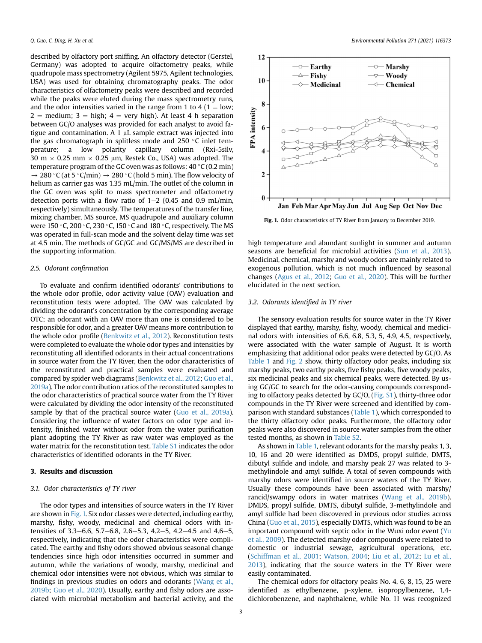described by olfactory port sniffing. An olfactory detector (Gerstel, Germany) was adopted to acquire olfactometry peaks, while quadrupole mass spectrometry (Agilent 5975, Agilent technologies, USA) was used for obtaining chromatography peaks. The odor characteristics of olfactometry peaks were described and recorded while the peaks were eluted during the mass spectrometry runs, and the odor intensities varied in the range from 1 to 4 ( $1 =$ low;  $2 =$  medium; 3  $=$  high; 4  $=$  very high). At least 4 h separation between GC/O analyses was provided for each analyst to avoid fatigue and contamination. A 1  $\mu$ L sample extract was injected into the gas chromatograph in splitless mode and 250  $\degree$ C inlet temperature; a low polarity capillary column (Rxi-5silv, 30 m  $\times$  0.25 mm  $\times$  0.25 µm, Restek Co., USA) was adopted. The temperature program of the GC oven was as follows:  $40\degree C(0.2 \text{ min})$  $\rightarrow$  280 °C (at 5 °C/min)  $\rightarrow$  280 °C (hold 5 min). The flow velocity of helium as carrier gas was 1.35 mL/min. The outlet of the column in the GC oven was split to mass spectrometer and olfactometry detection ports with a flow ratio of  $1-2$  (0.45 and 0.9 mL/min, respectively) simultaneously. The temperatures of the transfer line, mixing chamber, MS source, MS quadrupole and auxiliary column were 150 °C, 200 °C, 230 °C, 150 °C and 180 °C, respectively. The MS was operated in full-scan mode and the solvent delay time was set at 4.5 min. The methods of GC/GC and GC/MS/MS are described in the supporting information.

# 2.5. Odorant confirmation

To evaluate and confirm identified odorants' contributions to the whole odor profile, odor activity value (OAV) evaluation and reconstitution tests were adopted. The OAV was calculated by dividing the odorant's concentration by the corresponding average OTC; an odorant with an OAV more than one is considered to be responsible for odor, and a greater OAV means more contribution to the whole odor profile [\(Benkwitz et al., 2012\)](#page-6-10). Reconstitution tests were completed to evaluate the whole odor types and intensities by reconstituting all identified odorants in their actual concentrations in source water from the TY River, then the odor characteristics of the reconstituted and practical samples were evaluated and compared by spider web diagrams ([Benkwitz et al., 2012](#page-6-10); [Guo et al.,](#page-6-11) [2019a](#page-6-11)). The odor contribution ratios of the reconstituted samples to the odor characteristics of practical source water from the TY River were calculated by dividing the odor intensity of the reconstituted sample by that of the practical source water ([Guo et al., 2019a\)](#page-6-11). Considering the influence of water factors on odor type and intensity, finished water without odor from the water purification plant adopting the TY River as raw water was employed as the water matrix for the reconstitution test. Table S1 indicates the odor characteristics of identified odorants in the TY River.

### 3. Results and discussion

### 3.1. Odor characteristics of TY river

The odor types and intensities of source waters in the TY River are shown in [Fig. 1.](#page-2-0) Six odor classes were detected, including earthy, marshy, fishy, woody, medicinal and chemical odors with intensities of 3.3–6.6, 5.7–6.8, 2.6–5.3, 4.2–5, 4.2–4.5 and 4.6–5, respectively, indicating that the odor characteristics were complicated. The earthy and fishy odors showed obvious seasonal change tendencies since high odor intensities occurred in summer and autumn, while the variations of woody, marshy, medicinal and chemical odor intensities were not obvious, which was similar to findings in previous studies on odors and odorants [\(Wang et al.,](#page-7-7) [2019b;](#page-7-7) [Guo et al., 2020\)](#page-6-2). Usually, earthy and fishy odors are associated with microbial metabolism and bacterial activity, and the

<span id="page-2-0"></span>

Fig. 1. Odor characteristics of TY River from January to December 2019.

high temperature and abundant sunlight in summer and autumn seasons are beneficial for microbial activities ([Sun et al., 2013\)](#page-7-15). Medicinal, chemical, marshy and woody odors are mainly related to exogenous pollution, which is not much influenced by seasonal changes [\(Agus et al., 2012](#page-6-18); [Guo et al., 2020\)](#page-6-2). This will be further elucidated in the next section.

#### 3.2. Odorants identified in TY river

The sensory evaluation results for source water in the TY River displayed that earthy, marshy, fishy, woody, chemical and medicinal odors with intensities of 6.6, 6.8, 5.3, 5, 4.9, 4.5, respectively, were associated with the water sample of August. It is worth emphasizing that additional odor peaks were detected by GC/O. As [Table 1](#page-3-0) and [Fig. 2](#page-3-1) show, thirty olfactory odor peaks, including six marshy peaks, two earthy peaks, five fishy peaks, five woody peaks, six medicinal peaks and six chemical peaks, were detected. By using GC/GC to search for the odor-causing compounds corresponding to olfactory peaks detected by GC/O, (Fig. S1), thirty-three odor compounds in the TY River were screened and identified by comparison with standard substances [\(Table 1\)](#page-3-0), which corresponded to the thirty olfactory odor peaks. Furthermore, the olfactory odor peaks were also discovered in source water samples from the other tested months, as shown in Table S2.

As shown in [Table 1,](#page-3-0) relevant odorants for the marshy peaks 1, 3, 10, 16 and 20 were identified as DMDS, propyl sulfide, DMTS, dibutyl sulfide and indole, and marshy peak 27 was related to 3 methylindole and amyl sulfide. A total of seven compounds with marshy odors were identified in source waters of the TY River. Usually these compounds have been associated with marshy/ rancid/swampy odors in water matrixes [\(Wang et al., 2019b\)](#page-7-7). DMDS, propyl sulfide, DMTS, dibutyl sulfide, 3-methylindole and amyl sulfide had been discovered in previous odor studies across China [\(Guo et al., 2015](#page-6-8)), especially DMTS, which was found to be an important compound with septic odor in the Wuxi odor event ([Yu](#page-7-9) [et al., 2009\)](#page-7-9). The detected marshy odor compounds were related to domestic or industrial sewage, agricultural operations, etc. ([Schiffman et al., 2001](#page-7-16); [Watson, 2004;](#page-7-1) [Liu et al., 2012;](#page-6-19) [Lu et al.,](#page-7-17) [2013\)](#page-7-17), indicating that the source waters in the TY River were easily contaminated.

The chemical odors for olfactory peaks No. 4, 6, 8, 15, 25 were identified as ethylbenzene, p-xylene, isopropylbenzene, 1,4 dichlorobenzene, and naphthalene, while No. 11 was recognized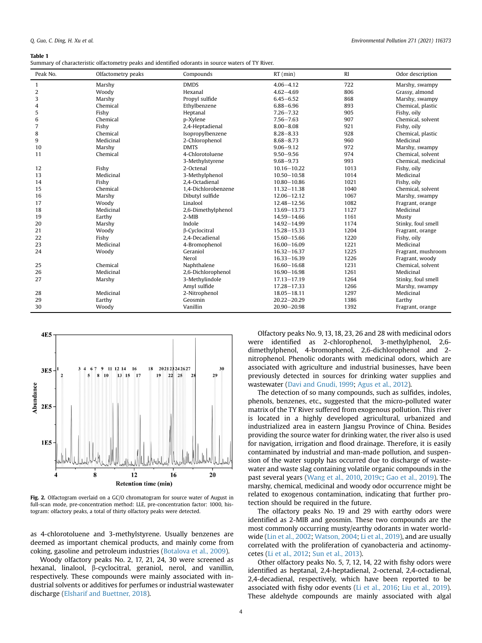#### <span id="page-3-0"></span>Table 1

| Summary of characteristic olfactometry peaks and identified odorants in source waters of TY River. |  |  |  |
|----------------------------------------------------------------------------------------------------|--|--|--|
|----------------------------------------------------------------------------------------------------|--|--|--|

| Peak No.       | Olfactometry peaks | Compounds           | $RT$ (min)      | R <sub>I</sub> | Odor description    |
|----------------|--------------------|---------------------|-----------------|----------------|---------------------|
| $\mathbf{1}$   | Marshy             | <b>DMDS</b>         | $4.06 - 4.12$   | 722            | Marshy, swampy      |
| $\overline{2}$ | Woody              | Hexanal             | $4.62 - 4.69$   | 806            | Grassy, almond      |
| 3              | Marshy             | Propyl sulfide      | $6.45 - 6.52$   | 868            | Marshy, swampy      |
| 4              | Chemical           | Ethylbenzene        | $6.88 - 6.96$   | 893            | Chemical, plastic   |
| 5              | Fishy              | Heptanal            | $7.26 - 7.32$   | 905            | Fishy, oily         |
| 6              | Chemical           | p-Xylene            | $7.56 - 7.63$   | 907            | Chemical, solvent   |
| 7              | Fishy              | 2,4-Heptadienal     | $8.00 - 8.08$   | 921            | Fishy, oily         |
| 8              | Chemical           | Isopropylbenzene    | $8.28 - 8.33$   | 928            | Chemical, plastic   |
| 9              | Medicinal          | 2-Chlorophenol      | $8.68 - 8.73$   | 960            | Medicinal           |
| 10             | Marshy             | <b>DMTS</b>         | $9.06 - 9.12$   | 972            | Marshy, swampy      |
| 11             | Chemical           | 4-Chlorotoluene     | $9.50 - 9.56$   | 974            | Chemical, solvent   |
|                |                    | 3-Methylstyrene     | $9.68 - 9.73$   | 993            | Chemical, medicinal |
| 12             | Fishy              | 2-Octenal           | $10.16 - 10.22$ | 1013           | Fishy, oily         |
| 13             | Medicinal          | 3-Methylphenol      | $10.50 - 10.58$ | 1014           | Medicinal           |
| 14             | Fishy              | 2.4-Octadienal      | $10.80 - 10.86$ | 1021           | Fishy, oily         |
| 15             | Chemical           | 1.4-Dichlorobenzene | $11.32 - 11.38$ | 1040           | Chemical, solvent   |
| 16             | Marshy             | Dibutyl sulfide     | $12.06 - 12.12$ | 1067           | Marshy, swampy      |
| 17             | Woody              | Linalool            | $12.48 - 12.56$ | 1082           | Fragrant, orange    |
| 18             | Medicinal          | 2,6-Dimethylphenol  | 13.69 - 13.73   | 1127           | Medicinal           |
| 19             | Earthy             | $2-MIB$             | 14.59-14.66     | 1161           | Musty               |
| 20             | Marshy             | Indole              | $14.92 - 14.99$ | 1174           | Stinky, foul smell  |
| 21             | Woody              | β-Cyclocitral       | $15.28 - 15.33$ | 1204           | Fragrant, orange    |
| 22             | Fishy              | 2.4-Decadienal      | $15.60 - 15.66$ | 1220           | Fishy, oily         |
| 23             | Medicinal          | 4-Bromophenol       | $16.00 - 16.09$ | 1221           | Medicinal           |
| 24             | Woody              | Geraniol            | $16.32 - 16.37$ | 1225           | Fragrant, mushroom  |
|                |                    | Nerol               | $16.33 - 16.39$ | 1226           | Fragrant, woody     |
| 25             | Chemical           | Naphthalene         | $16.60 - 16.68$ | 1231           | Chemical, solvent   |
| 26             | Medicinal          | 2,6-Dichlorophenol  | $16.90 - 16.98$ | 1261           | Medicinal           |
| 27             | Marshy             | 3-Methylindole      | $17.13 - 17.19$ | 1264           | Stinky, foul smell  |
|                |                    | Amyl sulfide        | 17.28-17.33     | 1266           | Marshy, swampy      |
| 28             | Medicinal          | 2-Nitrophenol       | $18.05 - 18.11$ | 1297           | Medicinal           |
| 29             | Earthy             | Geosmin             | $20.22 - 20.29$ | 1386           | Earthy              |
| 30             | Woody              | Vanillin            | $20.90 - 20.98$ | 1392           | Fragrant, orange    |

<span id="page-3-1"></span>

Fig. 2. Olfactogram overlaid on a GC/O chromatogram for source water of August in full-scan mode, pre-concentration method: LLE, pre-concentration factor: 1000, histogram: olfactory peaks, a total of thirty olfactory peaks were detected.

as 4-chlorotoluene and 3-methylstyrene. Usually benzenes are deemed as important chemical products, and mainly come from coking, gasoline and petroleum industries [\(Botalova et al., 2009\)](#page-6-20).

Woody olfactory peaks No. 2, 17, 21, 24, 30 were screened as hexanal, linalool, b-cyclocitral, geraniol, nerol, and vanillin, respectively. These compounds were mainly associated with industrial solvents or additives for perfumes or industrial wastewater discharge [\(Elsharif and Buettner, 2018\)](#page-6-21).

Olfactory peaks No. 9, 13, 18, 23, 26 and 28 with medicinal odors were identified as 2-chlorophenol, 3-methylphenol, 2,6 dimethylphenol, 4-bromophenol, 2,6-dichlorophenol and 2 nitrophenol. Phenolic odorants with medicinal odors, which are associated with agriculture and industrial businesses, have been previously detected in sources for drinking water supplies and wastewater ([Davi and Gnudi, 1999;](#page-6-22) [Agus et al., 2012](#page-6-18)).

The detection of so many compounds, such as sulfides, indoles, phenols, benzenes, etc., suggested that the micro-polluted water matrix of the TY River suffered from exogenous pollution. This river is located in a highly developed agricultural, urbanized and industrialized area in eastern Jiangsu Province of China. Besides providing the source water for drinking water, the river also is used for navigation, irrigation and flood drainage. Therefore, it is easily contaminated by industrial and man-made pollution, and suspension of the water supply has occurred due to discharge of wastewater and waste slag containing volatile organic compounds in the past several years ([Wang et al., 2010](#page-7-11), [2019c](#page-7-12); [Gao et al., 2019](#page-6-13)). The marshy, chemical, medicinal and woody odor occurrence might be related to exogenous contamination, indicating that further protection should be required in the future.

The olfactory peaks No. 19 and 29 with earthy odors were identified as 2-MIB and geosmin. These two compounds are the most commonly occurring musty/earthy odorants in water worldwide [\(Lin et al., 2002](#page-6-4); [Watson, 2004](#page-7-1); [Li et al., 2019](#page-6-3)), and are usually correlated with the proliferation of cyanobacteria and actinomycetes [\(Li et al., 2012](#page-6-0); [Sun et al., 2013](#page-7-15)).

Other olfactory peaks No. 5, 7, 12, 14, 22 with fishy odors were identified as heptanal, 2,4-heptadienal, 2-octenal, 2,4-octadienal, 2,4-decadienal, respectively, which have been reported to be associated with fishy odor events [\(Li et al., 2016](#page-6-23); [Liu et al., 2019\)](#page-7-18). These aldehyde compounds are mainly associated with algal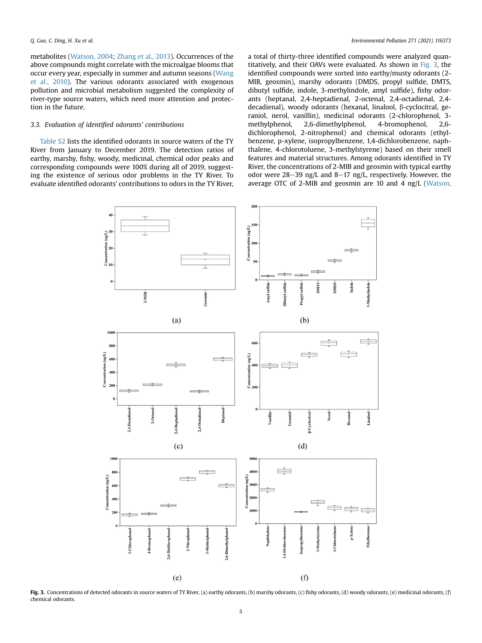metabolites [\(Watson, 2004](#page-7-1); [Zhang et al., 2013\)](#page-7-19). Occurrences of the above compounds might correlate with the microalgae blooms that occur every year, especially in summer and autumn seasons ([Wang](#page-7-11) [et al., 2010](#page-7-11)). The various odorants associated with exogenous pollution and microbial metabolism suggested the complexity of river-type source waters, which need more attention and protection in the future.

# 3.3. Evaluation of identified odorants' contributions

<span id="page-4-0"></span>Table S2 lists the identified odorants in source waters of the TY River from January to December 2019. The detection ratios of earthy, marshy, fishy, woody, medicinal, chemical odor peaks and corresponding compounds were 100% during all of 2019, suggesting the existence of serious odor problems in the TY River. To evaluate identified odorants' contributions to odors in the TY River,

a total of thirty-three identified compounds were analyzed quantitatively, and their OAVs were evaluated. As shown in [Fig. 3](#page-4-0), the identified compounds were sorted into earthy/musty odorants (2- MIB, geosmin), marshy odorants (DMDS, propyl sulfide, DMTS, dibutyl sulfide, indole, 3-methylindole, amyl sulfide), fishy odorants (heptanal, 2,4-heptadienal, 2-octenal, 2,4-octadienal, 2,4 decadienal), woody odorants (hexanal, linalool, β-cyclocitral, geraniol, nerol, vanillin), medicinal odorants (2-chlorophenol, 3 methylphenol, 2,6-dimethylphenol, 4-bromophenol, 2,6 dichlorophenol, 2-nitrophenol) and chemical odorants (ethylbenzene, p-xylene, isopropylbenzene, 1,4-dichlorobenzene, naphthalene, 4-chlorotoluene, 3-methylstyrene) based on their smell features and material structures. Among odorants identified in TY River, the concentrations of 2-MIB and geosmin with typical earthy odor were  $28-39$  ng/L and  $8-17$  ng/L, respectively. However, the average OTC of 2-MIB and geosmin are 10 and 4 ng/L ([Watson,](#page-7-1)



Fig. 3. Concentrations of detected odorants in source waters of TY River, (a) earthy odorants, (b) marshy odorants, (c) fishy odorants, (d) woody odorants, (e) medicinal odorants, (f) chemical odorants.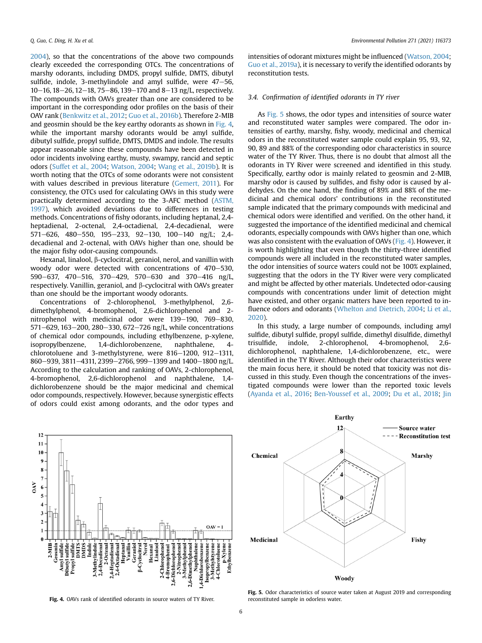[2004\)](#page-7-1), so that the concentrations of the above two compounds clearly exceeded the corresponding OTCs. The concentrations of marshy odorants, including DMDS, propyl sulfide, DMTS, dibutyl sulfide, indole, 3-methylindole and amyl sulfide, were  $47-56$ ,  $10-16$ ,  $18-26$ ,  $12-18$ ,  $75-86$ ,  $139-170$  and  $8-13$  ng/L, respectively. The compounds with OAVs greater than one are considered to be important in the corresponding odor profiles on the basis of their OAV rank [\(Benkwitz et al., 2012](#page-6-10); [Guo et al., 2016b\)](#page-6-15). Therefore 2-MIB and geosmin should be the key earthy odorants as shown in [Fig. 4,](#page-5-0) while the important marshy odorants would be amyl sulfide, dibutyl sulfide, propyl sulfide, DMTS, DMDS and indole. The results appear reasonable since these compounds have been detected in odor incidents involving earthy, musty, swampy, rancid and septic odors ([Suffet et al., 2004;](#page-7-5) [Watson, 2004](#page-7-1); [Wang et al., 2019b\)](#page-7-7). It is worth noting that the OTCs of some odorants were not consistent with values described in previous literature [\(Gemert, 2011\)](#page-6-24). For consistency, the OTCs used for calculating OAVs in this study were practically determined according to the 3-AFC method ([ASTM,](#page-6-17) [1997\)](#page-6-17), which avoided deviations due to differences in testing methods. Concentrations of fishy odorants, including heptanal, 2,4 heptadienal, 2-octenal, 2,4-octadienal, 2,4-decadienal, were 571-626, 480-550, 195-233, 92-130, 100-140 ng/L; 2,4decadienal and 2-octenal, with OAVs higher than one, should be the major fishy odor-causing compounds.

Hexanal, linalool, β-cyclocitral, geraniol, nerol, and vanillin with woody odor were detected with concentrations of  $470-530$ , 590-637, 470-516, 370-429, 570-630 and 370-416 ng/L, respectively. Vanillin, geraniol, and  $\beta$ -cyclocitral with OAVs greater than one should be the important woody odorants.

Concentrations of 2-chlorophenol, 3-methylphenol, 2,6 dimethylphenol, 4-bromophenol, 2,6-dichlorophenol and 2 nitrophenol with medicinal odor were 139-190, 769-830, 571-629, 163-200, 280-330, 672-726 ng/L, while concentrations of chemical odor compounds, including ethylbenzene, p-xylene, isopropylbenzene, 1,4-dichlorobenzene, naphthalene, 4 chlorotoluene and 3-methylstyrene, were  $816-1200$ ,  $912-1311$ , 860–939, 3811–4311, 2399–2766, 999–1399 and 1400–1800 ng/L. According to the calculation and ranking of OAVs, 2-chlorophenol, 4-bromophenol, 2,6-dichlorophenol and naphthalene, 1,4 dichlorobenzene should be the major medicinal and chemical odor compounds, respectively. However, because synergistic effects of odors could exist among odorants, and the odor types and

intensities of odorant mixtures might be influenced [\(Watson, 2004;](#page-7-1) [Guo et al., 2019a\)](#page-6-11), it is necessary to verify the identified odorants by reconstitution tests.

# 3.4. Confirmation of identified odorants in TY river

As [Fig. 5](#page-5-1) shows, the odor types and intensities of source water and reconstituted water samples were compared. The odor intensities of earthy, marshy, fishy, woody, medicinal and chemical odors in the reconstituted water sample could explain 95, 93, 92, 90, 89 and 88% of the corresponding odor characteristics in source water of the TY River. Thus, there is no doubt that almost all the odorants in TY River were screened and identified in this study. Specifically, earthy odor is mainly related to geosmin and 2-MIB, marshy odor is caused by sulfides, and fishy odor is caused by aldehydes. On the one hand, the finding of 89% and 88% of the medicinal and chemical odors' contributions in the reconstituted sample indicated that the primary compounds with medicinal and chemical odors were identified and verified. On the other hand, it suggested the importance of the identified medicinal and chemical odorants, especially compounds with OAVs higher than one, which was also consistent with the evaluation of OAVs ([Fig. 4](#page-5-0)). However, it is worth highlighting that even though the thirty-three identified compounds were all included in the reconstituted water samples, the odor intensities of source waters could not be 100% explained, suggesting that the odors in the TY River were very complicated and might be affected by other materials. Undetected odor-causing compounds with concentrations under limit of detection might have existed, and other organic matters have been reported to in-fluence odors and odorants [\(Whelton and Dietrich, 2004;](#page-7-20) [Li et al.,](#page-6-25) [2020\)](#page-6-25).

In this study, a large number of compounds, including amyl sulfide, dibutyl sulfide, propyl sulfide, dimethyl disulfide, dimethyl trisulfide, indole, 2-chlorophenol, 4-bromophenol, 2,6 dichlorophenol, naphthalene, 1,4-dichlorobenzene, etc., were identified in the TY River. Although their odor characteristics were the main focus here, it should be noted that toxicity was not discussed in this study. Even though the concentrations of the investigated compounds were lower than the reported toxic levels ([Ayanda et al., 2016;](#page-6-26) [Ben-Youssef et al., 2009](#page-6-27); [Du et al., 2018;](#page-6-28) [Jin](#page-6-29)

<span id="page-5-0"></span>

Fig. 4. OAVs rank of identified odorants in source waters of TY River.

<span id="page-5-1"></span>

Fig. 5. Odor characteristics of source water taken at August 2019 and corresponding reconstituted sample in odorless water.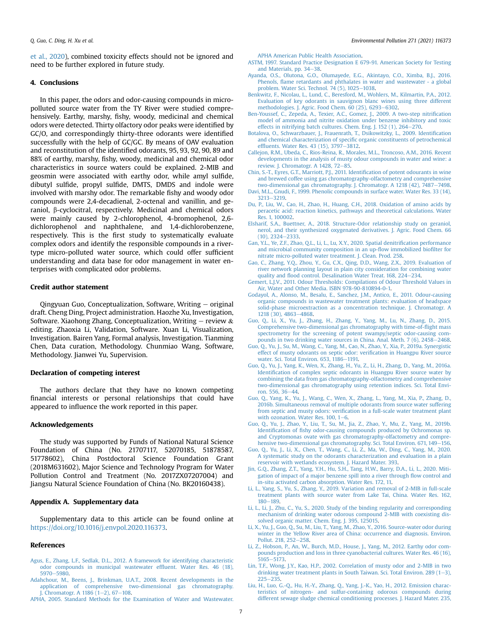[et al., 2020](#page-6-29)), combined toxicity effects should not be ignored and need to be further explored in future study.

### 4. Conclusions

In this paper, the odors and odor-causing compounds in micropolluted source water from the TY River were studied comprehensively. Earthy, marshy, fishy, woody, medicinal and chemical odors were detected. Thirty olfactory odor peaks were identified by GC/O, and correspondingly thirty-three odorants were identified successfully with the help of GC/GC. By means of OAV evaluation and reconstitution of the identified odorants, 95, 93, 92, 90, 89 and 88% of earthy, marshy, fishy, woody, medicinal and chemical odor characteristics in source waters could be explained. 2-MIB and geosmin were associated with earthy odor, while amyl sulfide, dibutyl sulfide, propyl sulfide, DMTS, DMDS and indole were involved with marshy odor. The remarkable fishy and woody odor compounds were 2,4-decadienal, 2-octenal and vanillin, and geraniol, b-cyclocitral, respectively. Medicinal and chemical odors were mainly caused by 2-chlorophenol, 4-bromophenol, 2,6 dichlorophenol and naphthalene, and 1,4-dichlorobenzene, respectively. This is the first study to systematically evaluate complex odors and identify the responsible compounds in a rivertype micro-polluted water source, which could offer sufficient understanding and data base for odor management in water enterprises with complicated odor problems.

### Credit author statement

Qingyuan Guo, Conceptualization, Software, Writing  $-$  original draft. Cheng Ding, Project administration. Haozhe Xu, Investigation, Software. Xiaohong Zhang, Conceptualization, Writing  $-$  review  $\&$ editing. Zhaoxia Li, Validation, Software. Xuan Li, Visualization, Investigation. Bairen Yang, Formal analysis, Investigation. Tianming Chen, Data curation, Methodology. Chunmiao Wang, Software, Methodology. Jianwei Yu, Supervision.

# Declaration of competing interest

The authors declare that they have no known competing financial interests or personal relationships that could have appeared to influence the work reported in this paper.

#### Acknowledgements

The study was supported by Funds of National Natural Science Foundation of China (No. 21707117, 52070185, 51878587, 51778602), China Postdoctoral Science Foundation Grant (2018M631602), Major Science and Technology Program for Water Pollution Control and Treatment (No. 2017ZX07207004) and Jiangsu Natural Science Foundation of China (No. BK20160438).

# Appendix A. Supplementary data

Supplementary data to this article can be found online at [https://doi.org/10.1016/j.envpol.2020.116373.](https://doi.org/10.1016/j.envpol.2020.116373)

#### References

- <span id="page-6-18"></span>[Agus, E., Zhang, L.F., Sedlak, D.L., 2012. A framework for identifying characteristic](http://refhub.elsevier.com/S0269-7491(20)37062-7/sref1) [odor compounds in municipal wastewater ef](http://refhub.elsevier.com/S0269-7491(20)37062-7/sref1)fluent. Water Res. 46 (18), [5970](http://refhub.elsevier.com/S0269-7491(20)37062-7/sref1)-[5980.](http://refhub.elsevier.com/S0269-7491(20)37062-7/sref1)
- <span id="page-6-7"></span>[Adahchour, M., Beens, J., Brinkman, U.A.T., 2008. Recent developments in the](http://refhub.elsevier.com/S0269-7491(20)37062-7/sref2) [application of comprehensive two-dimensional gas chromatography.](http://refhub.elsevier.com/S0269-7491(20)37062-7/sref2) J. Chromatogr. A 1186  $(1-2)$ , 67-[108.](http://refhub.elsevier.com/S0269-7491(20)37062-7/sref2)

<span id="page-6-16"></span>[APHA, 2005. Standard Methods for the Examination of Water and Wastewater.](http://refhub.elsevier.com/S0269-7491(20)37062-7/sref3)

[APHA American Public Health Association.](http://refhub.elsevier.com/S0269-7491(20)37062-7/sref3)

- <span id="page-6-17"></span>[ASTM, 1997. Standard Practice Designation E 679-91. American Society for Testing](http://refhub.elsevier.com/S0269-7491(20)37062-7/sref4) [and Materials, pp. 34](http://refhub.elsevier.com/S0269-7491(20)37062-7/sref4)-[38.](http://refhub.elsevier.com/S0269-7491(20)37062-7/sref4)
- <span id="page-6-26"></span>[Ayanda, O.S., Olutona, G.O., Olumayede, E.G., Akintayo, C.O., Ximba, B.J., 2016.](http://refhub.elsevier.com/S0269-7491(20)37062-7/sref5) Phenols, fl[ame retardants and phthalates in water and wastewater - a global](http://refhub.elsevier.com/S0269-7491(20)37062-7/sref5) problem. Water Sci. Technol. 74  $(5)$ ,  $1025-1038$  $1025-1038$ .
- <span id="page-6-10"></span>[Benkwitz, F., Nicolau, L., Lund, C., Beresford, M., Wohlers, M., Kilmartin, P.A., 2012.](http://refhub.elsevier.com/S0269-7491(20)37062-7/sref6) [Evaluation of key odorants in sauvignon blanc wines using three different](http://refhub.elsevier.com/S0269-7491(20)37062-7/sref6) methodologies. J. Agric. Food Chem.  $60$  (25),  $6293-6302$ .
- <span id="page-6-27"></span>[Ben-Youssef, C., Zepeda, A., Texier, A.C., Gomez, J., 2009. A two-step nitri](http://refhub.elsevier.com/S0269-7491(20)37062-7/sref7)fication [model of ammonia and nitrite oxidation under benzene inhibitory and toxic](http://refhub.elsevier.com/S0269-7491(20)37062-7/sref7) effects in nitrifying batch cultures. Chem. Eng.  $\vert$ , 152 (1), 264-[270.](http://refhub.elsevier.com/S0269-7491(20)37062-7/sref7)
- <span id="page-6-20"></span>[Botalova, O., Schwarzbauer, J., Frauenrath, T., Dsikowitzky, L., 2009. Identi](http://refhub.elsevier.com/S0269-7491(20)37062-7/sref8)fication and chemical characterization of specifi[c organic constituents of petrochemical](http://refhub.elsevier.com/S0269-7491(20)37062-7/sref8) effluents. Water Res. 43 (15),  $3797 - 3812$ .
- <span id="page-6-5"></span>[Callejon, R.M., Ubeda, C., Rios-Reina, R., Morales, M.L., Troncoso, A.M., 2016. Recent](http://refhub.elsevier.com/S0269-7491(20)37062-7/sref9) [developments in the analysis of musty odour compounds in water and wine: a](http://refhub.elsevier.com/S0269-7491(20)37062-7/sref9) review. J. Chromatogr. A  $1428$ ,  $72-85$ .
- <span id="page-6-12"></span>[Chin, S.-T., Eyres, G.T., Marriott, P.J., 2011. Identi](http://refhub.elsevier.com/S0269-7491(20)37062-7/sref10)fication of potent odourants in wine [and brewed coffee using gas chromatography-olfactometry and comprehensive](http://refhub.elsevier.com/S0269-7491(20)37062-7/sref10) [two-dimensional gas chromatography. J. Chromatogr. A 1218 \(42\), 7487](http://refhub.elsevier.com/S0269-7491(20)37062-7/sref10)-[7498](http://refhub.elsevier.com/S0269-7491(20)37062-7/sref10).
- <span id="page-6-22"></span>[Davi, M.L., Gnudi, F., 1999. Phenolic compounds in surface water. Water Res. 33 \(14\),](http://refhub.elsevier.com/S0269-7491(20)37062-7/sref11) [3213](http://refhub.elsevier.com/S0269-7491(20)37062-7/sref11)-[3219](http://refhub.elsevier.com/S0269-7491(20)37062-7/sref11).
- <span id="page-6-28"></span>[Du, P., Liu, W., Cao, H., Zhao, H., Huang, C.H., 2018. Oxidation of amino acids by](http://refhub.elsevier.com/S0269-7491(20)37062-7/sref12) [peracetic acid: reaction kinetics, pathways and theoretical calculations. Water](http://refhub.elsevier.com/S0269-7491(20)37062-7/sref12) [Res. 1, 100002.](http://refhub.elsevier.com/S0269-7491(20)37062-7/sref12)
- <span id="page-6-21"></span>[Elsharif, S.A., Buettner, A., 2018. Structure-Odor relationship study on geraniol,](http://refhub.elsevier.com/S0269-7491(20)37062-7/sref13) [nerol, and their synthesized oxygenated derivatives. J. Agric. Food Chem. 66](http://refhub.elsevier.com/S0269-7491(20)37062-7/sref13)  $(10)$ , 2324-[2333](http://refhub.elsevier.com/S0269-7491(20)37062-7/sref13).
- <span id="page-6-14"></span>[Gan, Y.L., Ye, Z.F., Zhao, Q.L., Li, L., Lu, X.Y., 2020. Spatial denitri](http://refhub.elsevier.com/S0269-7491(20)37062-7/sref14)fication performance [and microbial community composition in an up-](http://refhub.elsevier.com/S0269-7491(20)37062-7/sref14)flow immobilized biofilter for [nitrate micro-polluted water treatment. J. Clean. Prod. 258](http://refhub.elsevier.com/S0269-7491(20)37062-7/sref14).
- <span id="page-6-13"></span>[Gao, C., Zhang, Y.Q., Zhou, Y., Gu, C.X., Qing, D.D., Wang, Z.X., 2019. Evaluation of](http://refhub.elsevier.com/S0269-7491(20)37062-7/sref15) [river network planning layout in plain city consideration for combining water](http://refhub.elsevier.com/S0269-7491(20)37062-7/sref15) quality and fl[ood control. Desalination Water Treat. 168, 224](http://refhub.elsevier.com/S0269-7491(20)37062-7/sref15)-[234.](http://refhub.elsevier.com/S0269-7491(20)37062-7/sref15)
- <span id="page-6-24"></span>[Gemert, L.J.V., 2011. Odour Thresholds: Compilations of Odour Threshold Values in](http://refhub.elsevier.com/S0269-7491(20)37062-7/sref16) [Air, Water and Other Media. ISBN 978-90-810894-0-1.](http://refhub.elsevier.com/S0269-7491(20)37062-7/sref16)
- <span id="page-6-6"></span>[Godayol, A., Alonso, M., Besalu, E., Sanchez, J.M., Antico, E., 2011. Odour-causing](http://refhub.elsevier.com/S0269-7491(20)37062-7/sref17) [organic compounds in wastewater treatment plants: evaluation of headspace](http://refhub.elsevier.com/S0269-7491(20)37062-7/sref17) [solid-phase microextraction as a concentration technique. J. Chromatogr. A](http://refhub.elsevier.com/S0269-7491(20)37062-7/sref17) [1218 \(30\), 4863](http://refhub.elsevier.com/S0269-7491(20)37062-7/sref17)-[4868.](http://refhub.elsevier.com/S0269-7491(20)37062-7/sref17)
- <span id="page-6-8"></span>[Guo, Q., Li, X., Yu, J., Zhang, H., Zhang, Y., Yang, M., Lu, N., Zhang, D., 2015.](http://refhub.elsevier.com/S0269-7491(20)37062-7/sref18) [Comprehensive two-dimensional gas chromatography with time-of-](http://refhub.elsevier.com/S0269-7491(20)37062-7/sref18)flight mass [spectrometry for the screening of potent swampy/septic odor-causing com](http://refhub.elsevier.com/S0269-7491(20)37062-7/sref18)[pounds in two drinking water sources in China. Anal. Meth. 7 \(6\), 2458](http://refhub.elsevier.com/S0269-7491(20)37062-7/sref18)-[2468](http://refhub.elsevier.com/S0269-7491(20)37062-7/sref18).
- <span id="page-6-11"></span>[Guo, Q., Yu, J., Su, M., Wang, C., Yang, M., Cao, N., Zhao, Y., Xia, P., 2019a. Synergistic](http://refhub.elsevier.com/S0269-7491(20)37062-7/sref19) [effect of musty odorants on septic odor: veri](http://refhub.elsevier.com/S0269-7491(20)37062-7/sref19)fication in Huangpu River source [water. Sci. Total Environ. 653, 1186](http://refhub.elsevier.com/S0269-7491(20)37062-7/sref19)-[1191.](http://refhub.elsevier.com/S0269-7491(20)37062-7/sref19)
- <span id="page-6-1"></span>[Guo, Q., Yu, J., Yang, K., Wen, X., Zhang, H., Yu, Z., Li, H., Zhang, D., Yang, M., 2016a.](http://refhub.elsevier.com/S0269-7491(20)37062-7/sref20) Identifi[cation of complex septic odorants in Huangpu River source water by](http://refhub.elsevier.com/S0269-7491(20)37062-7/sref20) [combining the data from gas chromatography-olfactometry and comprehensive](http://refhub.elsevier.com/S0269-7491(20)37062-7/sref20) [two-dimensional gas chromatography using retention indices. Sci. Total Envi](http://refhub.elsevier.com/S0269-7491(20)37062-7/sref20)[ron. 556, 36](http://refhub.elsevier.com/S0269-7491(20)37062-7/sref20)-[44](http://refhub.elsevier.com/S0269-7491(20)37062-7/sref20).
- <span id="page-6-15"></span>[Guo, Q., Yang, K., Yu, J., Wang, C., Wen, X., Zhang, L., Yang, M., Xia, P., Zhang, D.,](http://refhub.elsevier.com/S0269-7491(20)37062-7/sref21) [2016b. Simultaneous removal of multiple odorants from source water suffering](http://refhub.elsevier.com/S0269-7491(20)37062-7/sref21) from septic and musty odors: verifi[cation in a full-scale water treatment plant](http://refhub.elsevier.com/S0269-7491(20)37062-7/sref21) with ozonation. Water Res.  $100$ ,  $1-6$ .
- <span id="page-6-9"></span>[Guo, Q., Yu, J., Zhao, Y., Liu, T., Su, M., Jia, Z., Zhao, Y., Mu, Z., Yang, M., 2019b.](http://refhub.elsevier.com/S0269-7491(20)37062-7/sref22) Identification of fi[shy odor-causing compounds produced by Ochromonas sp.](http://refhub.elsevier.com/S0269-7491(20)37062-7/sref22) [and Cryptomonas ovate with gas chromatography-olfactometry and compre](http://refhub.elsevier.com/S0269-7491(20)37062-7/sref22)[hensive two-dimensional gas chromatography. Sci. Total Environ. 671, 149](http://refhub.elsevier.com/S0269-7491(20)37062-7/sref22)-[156](http://refhub.elsevier.com/S0269-7491(20)37062-7/sref22).
- <span id="page-6-2"></span>[Guo, Q., Yu, J., Li, X., Chen, T., Wang, C., Li, Z., Ma, W., Ding, C., Yang, M., 2020.](http://refhub.elsevier.com/S0269-7491(20)37062-7/sref23) [A systematic study on the odorants characterization and evaluation in a plain](http://refhub.elsevier.com/S0269-7491(20)37062-7/sref23) [reservoir with wetlands ecosystem. J. Hazard Mater. 393](http://refhub.elsevier.com/S0269-7491(20)37062-7/sref23).
- <span id="page-6-29"></span>[Jin, G.Q., Zhang, Z.T., Yang, Y.H., Hu, S.H., Tang, H.W., Barry, D.A., Li, L., 2020. Miti](http://refhub.elsevier.com/S0269-7491(20)37062-7/sref24)[gation of impact of a major benzene spill into a river through](http://refhub.elsevier.com/S0269-7491(20)37062-7/sref24) flow control and [in-situ activated carbon absorption. Water Res. 172, 11.](http://refhub.elsevier.com/S0269-7491(20)37062-7/sref24)
- <span id="page-6-3"></span>[Li, L., Yang, S., Yu, S., Zhang, Y., 2019. Variation and removal of 2-MIB in full-scale](http://refhub.elsevier.com/S0269-7491(20)37062-7/sref25) [treatment plants with source water from Lake Tai, China. Water Res. 162,](http://refhub.elsevier.com/S0269-7491(20)37062-7/sref25) [180](http://refhub.elsevier.com/S0269-7491(20)37062-7/sref25)-[189](http://refhub.elsevier.com/S0269-7491(20)37062-7/sref25).
- <span id="page-6-25"></span>[Li, L., Li, J., Zhu, C., Yu, S., 2020. Study of the binding regularity and corresponding](http://refhub.elsevier.com/S0269-7491(20)37062-7/sref26) [mechanism of drinking water odorous compound 2-MIB with coexisting dis](http://refhub.elsevier.com/S0269-7491(20)37062-7/sref26)[solved organic matter. Chem. Eng. J. 395, 125015](http://refhub.elsevier.com/S0269-7491(20)37062-7/sref26).
- <span id="page-6-23"></span>[Li, X., Yu, J., Guo, Q., Su, M., Liu, T., Yang, M., Zhao, Y., 2016. Source-water odor during](http://refhub.elsevier.com/S0269-7491(20)37062-7/sref27) [winter in the Yellow River area of China: occurrence and diagnosis. Environ.](http://refhub.elsevier.com/S0269-7491(20)37062-7/sref27) [Pollut. 218, 252](http://refhub.elsevier.com/S0269-7491(20)37062-7/sref27)-[258](http://refhub.elsevier.com/S0269-7491(20)37062-7/sref27).
- <span id="page-6-0"></span>[Li, Z., Hobson, P., An, W., Burch, M.D., House, J., Yang, M., 2012. Earthy odor com](http://refhub.elsevier.com/S0269-7491(20)37062-7/sref28)[pounds production and loss in three cyanobacterial cultures. Water Res. 46 \(16\),](http://refhub.elsevier.com/S0269-7491(20)37062-7/sref28)  $5165 - 5173$  $5165 - 5173$
- <span id="page-6-4"></span>[Lin, T.F., Wong, J.Y., Kao, H.P., 2002. Correlation of musty odor and 2-MIB in two](http://refhub.elsevier.com/S0269-7491(20)37062-7/sref29) [drinking water treatment plants in South Taiwan. Sci. Total Environ. 289 \(1](http://refhub.elsevier.com/S0269-7491(20)37062-7/sref29)-[3\),](http://refhub.elsevier.com/S0269-7491(20)37062-7/sref29)  $225 - 235.$  $225 - 235.$  $225 - 235.$  $225 - 235.$
- <span id="page-6-19"></span>[Liu, H., Luo, G.-Q., Hu, H.-Y., Zhang, Q., Yang, J.-K., Yao, H., 2012. Emission charac](http://refhub.elsevier.com/S0269-7491(20)37062-7/sref30)[teristics of nitrogen- and sulfur-containing odorous compounds during](http://refhub.elsevier.com/S0269-7491(20)37062-7/sref30) [different sewage sludge chemical conditioning processes. J. Hazard Mater. 235,](http://refhub.elsevier.com/S0269-7491(20)37062-7/sref30)